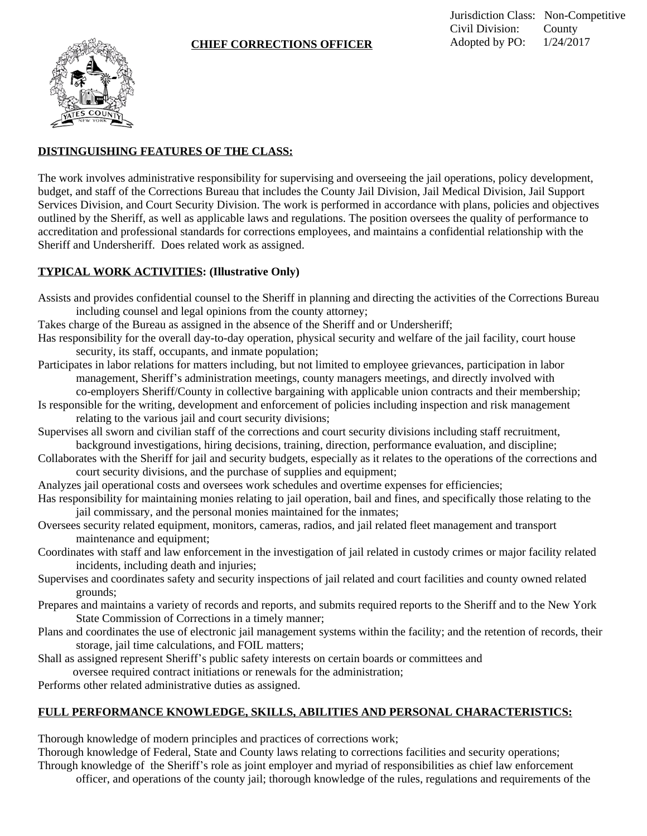

## **DISTINGUISHING FEATURES OF THE CLASS:**

The work involves administrative responsibility for supervising and overseeing the jail operations, policy development, budget, and staff of the Corrections Bureau that includes the County Jail Division, Jail Medical Division, Jail Support Services Division, and Court Security Division. The work is performed in accordance with plans, policies and objectives outlined by the Sheriff, as well as applicable laws and regulations. The position oversees the quality of performance to accreditation and professional standards for corrections employees, and maintains a confidential relationship with the Sheriff and Undersheriff. Does related work as assigned.

## **TYPICAL WORK ACTIVITIES: (Illustrative Only)**

- Assists and provides confidential counsel to the Sheriff in planning and directing the activities of the Corrections Bureau including counsel and legal opinions from the county attorney;
- Takes charge of the Bureau as assigned in the absence of the Sheriff and or Undersheriff;
- Has responsibility for the overall day-to-day operation, physical security and welfare of the jail facility, court house security, its staff, occupants, and inmate population;
- Participates in labor relations for matters including, but not limited to employee grievances, participation in labor management, Sheriff's administration meetings, county managers meetings, and directly involved with co-employers Sheriff/County in collective bargaining with applicable union contracts and their membership;
- Is responsible for the writing, development and enforcement of policies including inspection and risk management relating to the various jail and court security divisions;
- Supervises all sworn and civilian staff of the corrections and court security divisions including staff recruitment, background investigations, hiring decisions, training, direction, performance evaluation, and discipline;
- Collaborates with the Sheriff for jail and security budgets, especially as it relates to the operations of the corrections and court security divisions, and the purchase of supplies and equipment;
- Analyzes jail operational costs and oversees work schedules and overtime expenses for efficiencies;
- Has responsibility for maintaining monies relating to jail operation, bail and fines, and specifically those relating to the jail commissary, and the personal monies maintained for the inmates;
- Oversees security related equipment, monitors, cameras, radios, and jail related fleet management and transport maintenance and equipment;
- Coordinates with staff and law enforcement in the investigation of jail related in custody crimes or major facility related incidents, including death and injuries;
- Supervises and coordinates safety and security inspections of jail related and court facilities and county owned related grounds;
- Prepares and maintains a variety of records and reports, and submits required reports to the Sheriff and to the New York State Commission of Corrections in a timely manner;
- Plans and coordinates the use of electronic jail management systems within the facility; and the retention of records, their storage, jail time calculations, and FOIL matters;
- Shall as assigned represent Sheriff's public safety interests on certain boards or committees and oversee required contract initiations or renewals for the administration;
- Performs other related administrative duties as assigned.

## **FULL PERFORMANCE KNOWLEDGE, SKILLS, ABILITIES AND PERSONAL CHARACTERISTICS:**

Thorough knowledge of modern principles and practices of corrections work;

Thorough knowledge of Federal, State and County laws relating to corrections facilities and security operations; Through knowledge of the Sheriff's role as joint employer and myriad of responsibilities as chief law enforcement

officer, and operations of the county jail; thorough knowledge of the rules, regulations and requirements of the